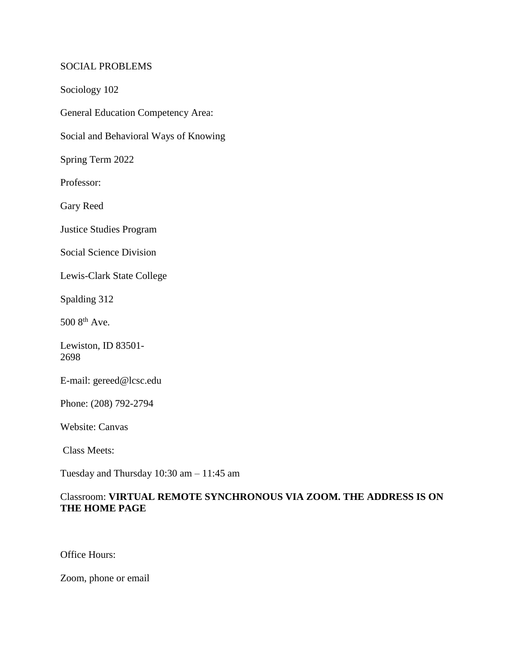#### SOCIAL PROBLEMS

Sociology 102

General Education Competency Area:

Social and Behavioral Ways of Knowing

Spring Term 2022

Professor:

Gary Reed

Justice Studies Program

Social Science Division

Lewis-Clark State College

Spalding 312

500 8th Ave.

Lewiston, ID 83501- 2698

E-mail: gereed@lcsc.edu

Phone: (208) 792-2794

Website: Canvas

Class Meets:

Tuesday and Thursday 10:30 am – 11:45 am

# Classroom: **VIRTUAL REMOTE SYNCHRONOUS VIA ZOOM. THE ADDRESS IS ON THE HOME PAGE**

Office Hours:

Zoom, phone or email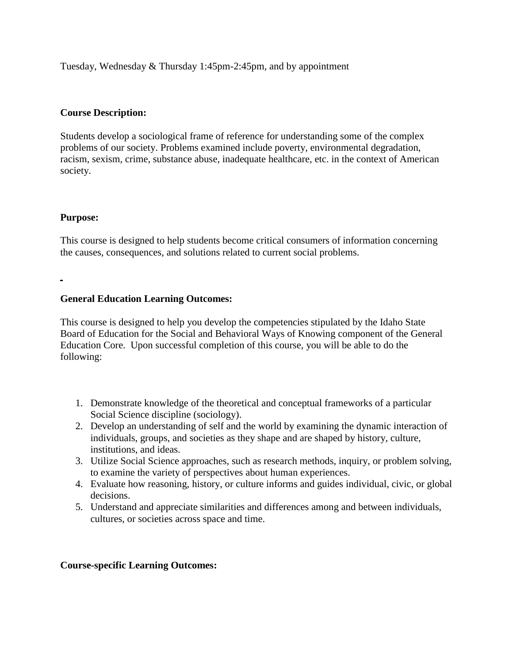Tuesday, Wednesday & Thursday 1:45pm-2:45pm, and by appointment

## **Course Description:**

Students develop a sociological frame of reference for understanding some of the complex problems of our society. Problems examined include poverty, environmental degradation, racism, sexism, crime, substance abuse, inadequate healthcare, etc. in the context of American society.

## **Purpose:**

This course is designed to help students become critical consumers of information concerning the causes, consequences, and solutions related to current social problems.

## **General Education Learning Outcomes:**

This course is designed to help you develop the competencies stipulated by the Idaho State Board of Education for the Social and Behavioral Ways of Knowing component of the General Education Core. Upon successful completion of this course, you will be able to do the following:

- 1. Demonstrate knowledge of the theoretical and conceptual frameworks of a particular Social Science discipline (sociology).
- 2. Develop an understanding of self and the world by examining the dynamic interaction of individuals, groups, and societies as they shape and are shaped by history, culture, institutions, and ideas.
- 3. Utilize Social Science approaches, such as research methods, inquiry, or problem solving, to examine the variety of perspectives about human experiences.
- 4. Evaluate how reasoning, history, or culture informs and guides individual, civic, or global decisions.
- 5. Understand and appreciate similarities and differences among and between individuals, cultures, or societies across space and time.

#### **Course-specific Learning Outcomes:**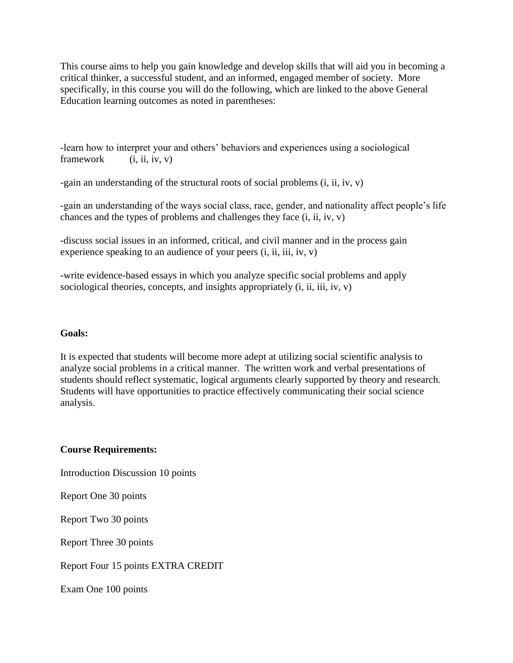This course aims to help you gain knowledge and develop skills that will aid you in becoming a critical thinker, a successful student, and an informed, engaged member of society. More specifically, in this course you will do the following, which are linked to the above General Education learning outcomes as noted in parentheses:

-learn how to interpret your and others' behaviors and experiences using a sociological framework  $(i, ii, iv, v)$ 

-gain an understanding of the structural roots of social problems (i, ii, iv, v)

-gain an understanding of the ways social class, race, gender, and nationality affect people's life chances and the types of problems and challenges they face (i, ii, iv, v)

-discuss social issues in an informed, critical, and civil manner and in the process gain experience speaking to an audience of your peers (i, ii, iii, iv, v)

-write evidence-based essays in which you analyze specific social problems and apply sociological theories, concepts, and insights appropriately  $(i, ii, iii, iv, v)$ 

#### **Goals:**

It is expected that students will become more adept at utilizing social scientific analysis to analyze social problems in a critical manner. The written work and verbal presentations of students should reflect systematic, logical arguments clearly supported by theory and research. Students will have opportunities to practice effectively communicating their social science analysis.

# **Course Requirements:**

Introduction Discussion 10 points

Report One 30 points

Report Two 30 points

Report Three 30 points

Report Four 15 points EXTRA CREDIT

Exam One 100 points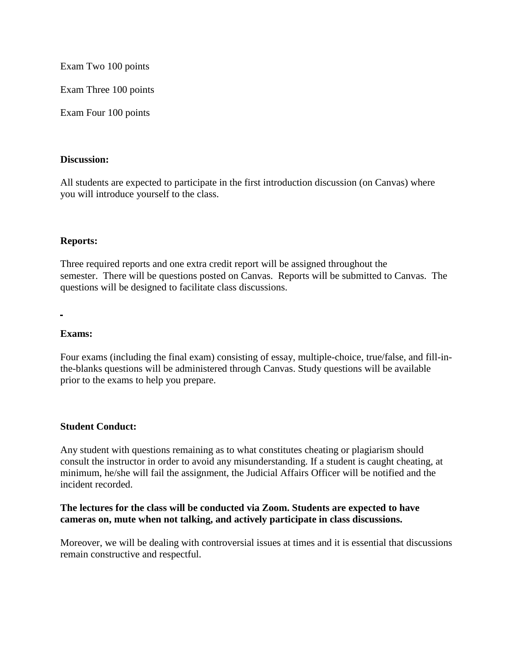Exam Two 100 points

Exam Three 100 points

Exam Four 100 points

#### **Discussion:**

All students are expected to participate in the first introduction discussion (on Canvas) where you will introduce yourself to the class.

## **Reports:**

Three required reports and one extra credit report will be assigned throughout the semester. There will be questions posted on Canvas. Reports will be submitted to Canvas. The questions will be designed to facilitate class discussions.

#### **Exams:**

Four exams (including the final exam) consisting of essay, multiple-choice, true/false, and fill-inthe-blanks questions will be administered through Canvas. Study questions will be available prior to the exams to help you prepare.

#### **Student Conduct:**

Any student with questions remaining as to what constitutes cheating or plagiarism should consult the instructor in order to avoid any misunderstanding. If a student is caught cheating, at minimum, he/she will fail the assignment, the Judicial Affairs Officer will be notified and the incident recorded.

## **The lectures for the class will be conducted via Zoom. Students are expected to have cameras on, mute when not talking, and actively participate in class discussions.**

Moreover, we will be dealing with controversial issues at times and it is essential that discussions remain constructive and respectful.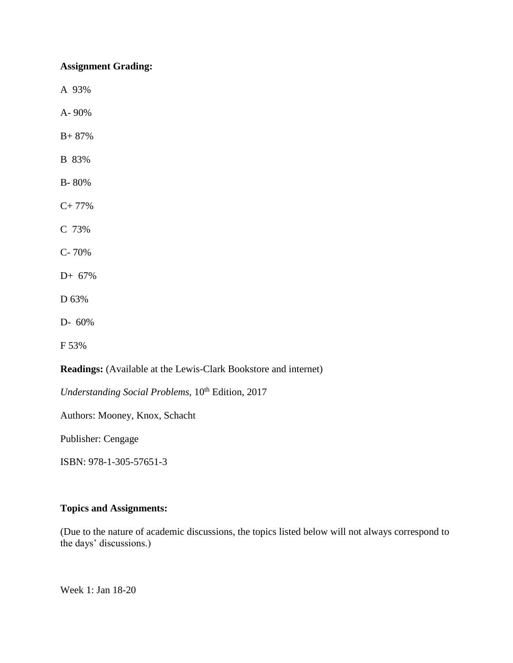## **Assignment Grading:**

A 93%

A- 90%

- B+ 87%
- B 83%
- B- 80%
- C+ 77%
- C 73%
- C- 70%
- D+ 67%
- D 63%
- D- 60%
- F 53%

**Readings:** (Available at the Lewis-Clark Bookstore and internet)

*Understanding Social Problems, 10<sup>th</sup> Edition, 2017* 

Authors: Mooney, Knox, Schacht

Publisher: Cengage

ISBN: 978-1-305-57651-3

## **Topics and Assignments:**

(Due to the nature of academic discussions, the topics listed below will not always correspond to the days' discussions.)

Week 1: Jan 18-20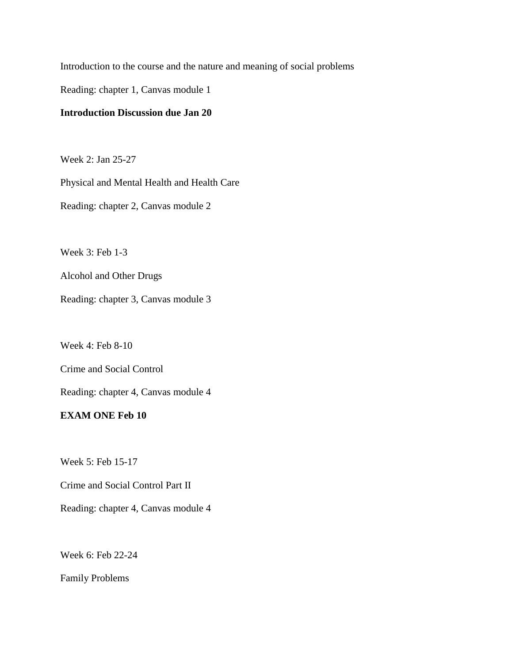Introduction to the course and the nature and meaning of social problems

Reading: chapter 1, Canvas module 1

# **Introduction Discussion due Jan 20**

Week 2: Jan 25-27

Physical and Mental Health and Health Care Reading: chapter 2, Canvas module 2

Week 3: Feb 1-3

Alcohol and Other Drugs

Reading: chapter 3, Canvas module 3

Week 4: Feb 8-10

Crime and Social Control

Reading: chapter 4, Canvas module 4

# **EXAM ONE Feb 10**

Week 5: Feb 15-17

Crime and Social Control Part II

Reading: chapter 4, Canvas module 4

Week 6: Feb 22-24

Family Problems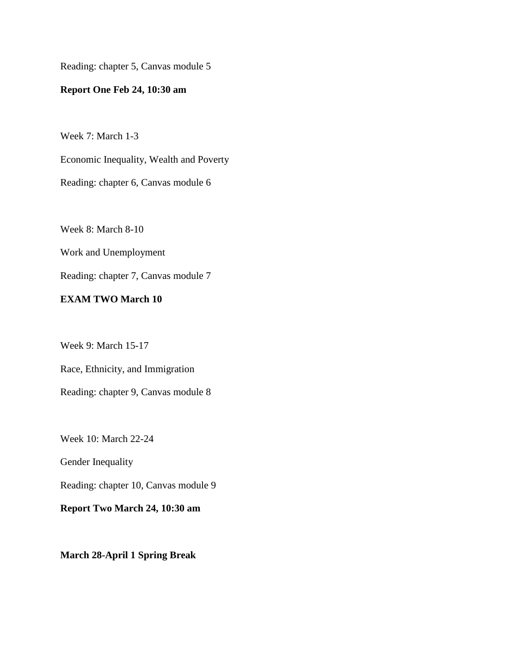Reading: chapter 5, Canvas module 5

# **Report One Feb 24, 10:30 am**

Week 7: March 1-3

Economic Inequality, Wealth and Poverty

Reading: chapter 6, Canvas module 6

Week 8: March 8-10

Work and Unemployment

Reading: chapter 7, Canvas module 7

## **EXAM TWO March 10**

Week 9: March 15-17

Race, Ethnicity, and Immigration

Reading: chapter 9, Canvas module 8

Week 10: March 22-24

Gender Inequality

Reading: chapter 10, Canvas module 9

**Report Two March 24, 10:30 am**

**March 28-April 1 Spring Break**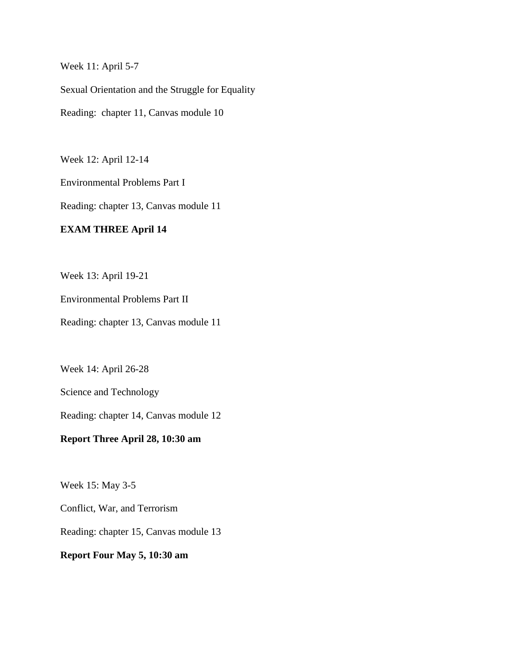Week 11: April 5-7

Sexual Orientation and the Struggle for Equality Reading: chapter 11, Canvas module 10

Week 12: April 12-14

Environmental Problems Part I

Reading: chapter 13, Canvas module 11

# **EXAM THREE April 14**

Week 13: April 19-21

Environmental Problems Part II

Reading: chapter 13, Canvas module 11

Week 14: April 26-28

Science and Technology

Reading: chapter 14, Canvas module 12

**Report Three April 28, 10:30 am**

Week 15: May 3-5

Conflict, War, and Terrorism

Reading: chapter 15, Canvas module 13

**Report Four May 5, 10:30 am**